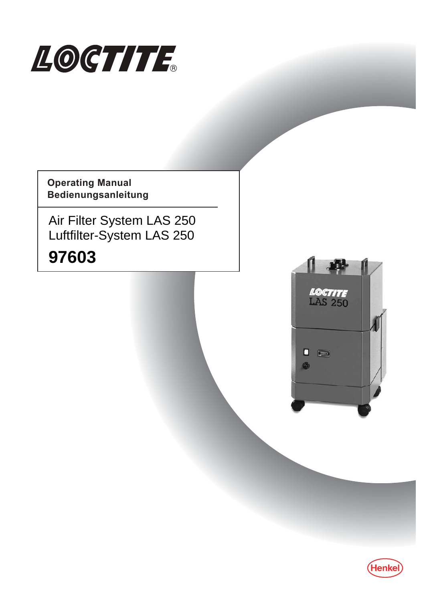

**Operating Manual Bedienungsanleitung**

Air Filter System LAS 250 Luftfilter-System LAS 250

# **97603**



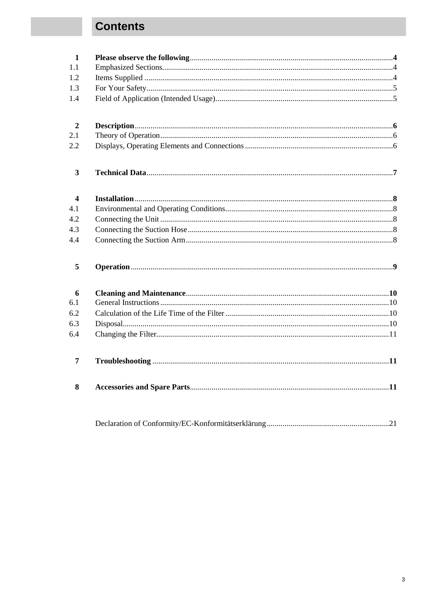# **Contents**

| $\mathbf{1}$            |  |
|-------------------------|--|
| 1.1                     |  |
| 1.2                     |  |
| 1.3                     |  |
| 1.4                     |  |
| $\boldsymbol{2}$        |  |
| 2.1                     |  |
| 2.2                     |  |
| $\mathbf{3}$            |  |
| $\overline{\mathbf{4}}$ |  |
| 4.1                     |  |
| 4.2                     |  |
| 4.3                     |  |
| 4.4                     |  |
| 5                       |  |
| 6                       |  |
| 6.1                     |  |
| 6.2                     |  |
| 6.3                     |  |
| 6.4                     |  |
| $\overline{7}$          |  |
| 8                       |  |
|                         |  |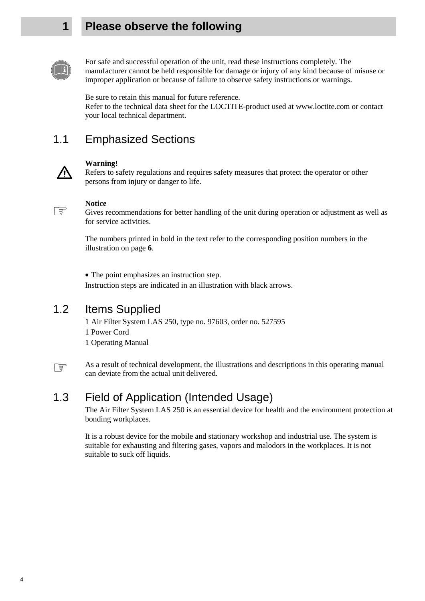#### **1 Please observe the following**



For safe and successful operation of the unit, read these instructions completely. The manufacturer cannot be held responsible for damage or injury of any kind because of misuse or improper application or because of failure to observe safety instructions or warnings.

Be sure to retain this manual for future reference. Refer to the technical data sheet for the LOCTITE-product used at www.loctite.com or contact your local technical department.

#### 1.1 Emphasized Sections



#### **Warning!**

Refers to safety regulations and requires safety measures that protect the operator or other persons from injury or danger to life.



#### **Notice**

Gives recommendations for better handling of the unit during operation or adjustment as well as for service activities.

 The numbers printed in bold in the text refer to the corresponding position numbers in the illustration on page **6**.

• The point emphasizes an instruction step.

Instruction steps are indicated in an illustration with black arrows.

#### 1.2 Items Supplied

1 Air Filter System LAS 250, type no. 97603, order no. 527595 1 Power Cord 1 Operating Manual



As a result of technical development, the illustrations and descriptions in this operating manual can deviate from the actual unit delivered.

#### 1.3 Field of Application (Intended Usage)

 The Air Filter System LAS 250 is an essential device for health and the environment protection at bonding workplaces.

 It is a robust device for the mobile and stationary workshop and industrial use. The system is suitable for exhausting and filtering gases, vapors and malodors in the workplaces. It is not suitable to suck off liquids.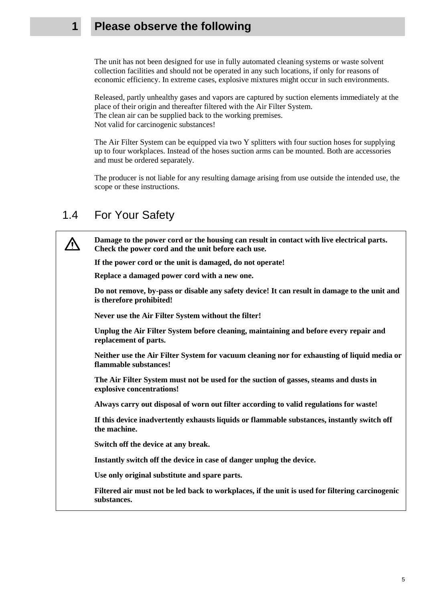#### **1 Please observe the following**

The unit has not been designed for use in fully automated cleaning systems or waste solvent collection facilities and should not be operated in any such locations, if only for reasons of economic efficiency. In extreme cases, explosive mixtures might occur in such environments.

 Released, partly unhealthy gases and vapors are captured by suction elements immediately at the place of their origin and thereafter filtered with the Air Filter System. The clean air can be supplied back to the working premises. Not valid for carcinogenic substances!

 The Air Filter System can be equipped via two Y splitters with four suction hoses for supplying up to four workplaces. Instead of the hoses suction arms can be mounted. Both are accessories and must be ordered separately.

 The producer is not liable for any resulting damage arising from use outside the intended use, the scope or these instructions.

#### 1.4 For Your Safety

/\

 **Damage to the power cord or the housing can result in contact with live electrical parts. Check the power cord and the unit before each use.** 

**If the power cord or the unit is damaged, do not operate!** 

**Replace a damaged power cord with a new one.** 

 **Do not remove, by-pass or disable any safety device! It can result in damage to the unit and is therefore prohibited!** 

 **Never use the Air Filter System without the filter!** 

 **Unplug the Air Filter System before cleaning, maintaining and before every repair and replacement of parts.** 

 **Neither use the Air Filter System for vacuum cleaning nor for exhausting of liquid media or flammable substances!** 

 **The Air Filter System must not be used for the suction of gasses, steams and dusts in explosive concentrations!** 

 **Always carry out disposal of worn out filter according to valid regulations for waste!** 

 **If this device inadvertently exhausts liquids or flammable substances, instantly switch off the machine.** 

 **Switch off the device at any break.** 

 **Instantly switch off the device in case of danger unplug the device.** 

 **Use only original substitute and spare parts.** 

 **Filtered air must not be led back to workplaces, if the unit is used for filtering carcinogenic substances.** 

5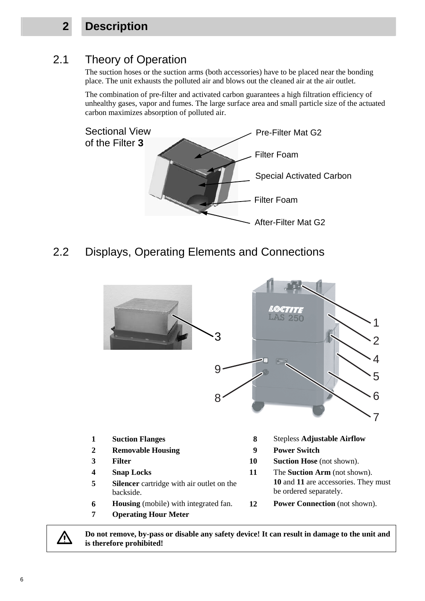## **2 Description**

# 2.1 Theory of Operation

 The suction hoses or the suction arms (both accessories) have to be placed near the bonding place. The unit exhausts the polluted air and blows out the cleaned air at the air outlet.

The combination of pre-filter and activated carbon guarantees a high filtration efficiency of unhealthy gases, vapor and fumes. The large surface area and small particle size of the actuated carbon maximizes absorption of polluted air.



2.2 Displays, Operating Elements and Connections



**Do not remove, by-pass or disable any safety device! It can result in damage to the unit and is therefore prohibited!** 

**A**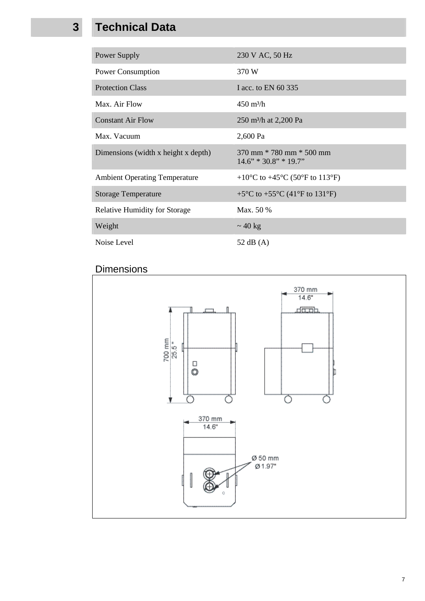# **3 Technical Data**

| Power Supply                         | 230 V AC, 50 Hz                                                                            |
|--------------------------------------|--------------------------------------------------------------------------------------------|
| Power Consumption                    | 370 W                                                                                      |
| <b>Protection Class</b>              | I acc. to EN 60 335                                                                        |
| Max. Air Flow                        | $450 \text{ m}^3/\text{h}$                                                                 |
| <b>Constant Air Flow</b>             | 250 m <sup>3</sup> /h at 2,200 Pa                                                          |
| Max. Vacuum                          | 2,600 Pa                                                                                   |
| Dimensions (width x height x depth)  | $370$ mm $*$ 780 mm $*$ 500 mm<br>$14.6$ " * 30.8" * 19.7"                                 |
| <b>Ambient Operating Temperature</b> | +10 <sup>o</sup> C to +45 <sup>o</sup> C (50 <sup>o</sup> F to 113 <sup>o</sup> F)         |
| <b>Storage Temperature</b>           | +5 $\rm{^{\circ}C}$ to +55 $\rm{^{\circ}C}$ (41 $\rm{^{\circ}F}$ to 131 $\rm{^{\circ}F}$ ) |
| <b>Relative Humidity for Storage</b> | Max. 50 %                                                                                  |
| Weight                               | $\sim$ 40 kg                                                                               |
| Noise Level                          | 52 dB $(A)$                                                                                |

## Dimensions

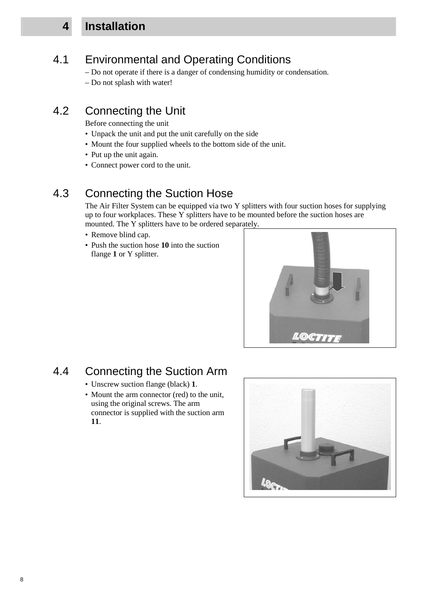## **4 Installation**

#### 4.1 Environmental and Operating Conditions

 – Do not operate if there is a danger of condensing humidity or condensation. – Do not splash with water!

#### 4.2 Connecting the Unit

Before connecting the unit

- Unpack the unit and put the unit carefully on the side
- Mount the four supplied wheels to the bottom side of the unit.
- Put up the unit again.
- Connect power cord to the unit.

#### 4.3 Connecting the Suction Hose

 The Air Filter System can be equipped via two Y splitters with four suction hoses for supplying up to four workplaces. These Y splitters have to be mounted before the suction hoses are mounted. The Y splitters have to be ordered separately.

- Remove blind can.
- Push the suction hose **10** into the suction flange 1 or Y splitter.



## 4.4 Connecting the Suction Arm

- Unscrew suction flange (black) **1**.
- Mount the arm connector (red) to the unit, using the original screws. The arm connector is supplied with the suction arm **11**.

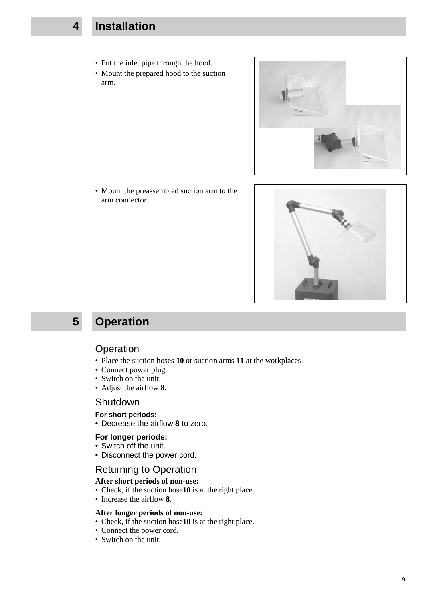## **4 Installation**

- Put the inlet pipe through the hood.
- Mount the prepared hood to the suction arm.



 • Mount the preassembled suction arm to the arm connector.



# **5 Operation**

#### **Operation**

- Place the suction hoses **10** or suction arms **11** at the workplaces.
- Connect power plug.
- Switch on the unit.
- Adjust the airflow **8**.

#### **Shutdown**

#### **For short periods:**

• Decrease the airflow **8** to zero.

#### **For longer periods:**

- Switch off the unit.
- Disconnect the power cord.

#### Returning to Operation

#### **After short periods of non-use:**

- Check, if the suction hose**10** is at the right place.
- Increase the airflow **8**.

#### **After longer periods of non-use:**

- Check, if the suction hose**10** is at the right place.
- Connect the power cord.
- Switch on the unit.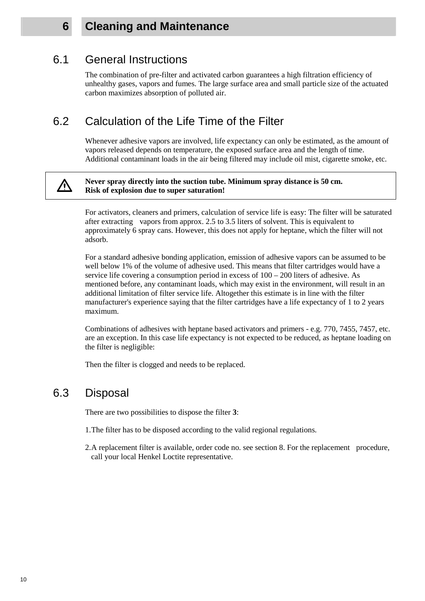### **6 Cleaning and Maintenance**

#### 6.1 General Instructions

 The combination of pre-filter and activated carbon guarantees a high filtration efficiency of unhealthy gases, vapors and fumes. The large surface area and small particle size of the actuated carbon maximizes absorption of polluted air.

#### 6.2 Calculation of the Life Time of the Filter

 Whenever adhesive vapors are involved, life expectancy can only be estimated, as the amount of vapors released depends on temperature, the exposed surface area and the length of time. Additional contaminant loads in the air being filtered may include oil mist, cigarette smoke, etc.

#### **Never spray directly into the suction tube. Minimum spray distance is 50 cm. Risk of explosion due to super saturation!**

 For activators, cleaners and primers, calculation of service life is easy: The filter will be saturated after extracting vapors from approx. 2.5 to 3.5 liters of solvent. This is equivalent to approximately 6 spray cans. However, this does not apply for heptane, which the filter will not adsorb.

For a standard adhesive bonding application, emission of adhesive vapors can be assumed to be well below 1% of the volume of adhesive used. This means that filter cartridges would have a service life covering a consumption period in excess of  $100 - 200$  liters of adhesive. As mentioned before, any contaminant loads, which may exist in the environment, will result in an additional limitation of filter service life. Altogether this estimate is in line with the filter manufacturer's experience saying that the filter cartridges have a life expectancy of 1 to 2 years maximum.

 Combinations of adhesives with heptane based activators and primers - e.g. 770, 7455, 7457, etc. are an exception. In this case life expectancy is not expected to be reduced, as heptane loading on the filter is negligible:

Then the filter is clogged and needs to be replaced.

#### 6.3 Disposal

There are two possibilities to dispose the filter **3**:

- 1. The filter has to be disposed according to the valid regional regulations.
- 2. A replacement filter is available, order code no. see section 8. For the replacement procedure, call your local Henkel Loctite representative.

10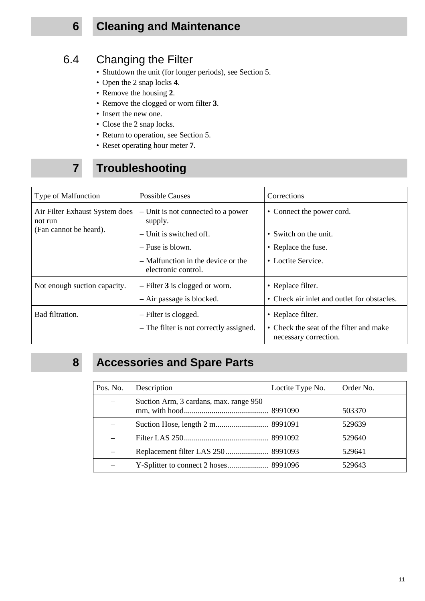# **6 Cleaning and Maintenance**

# 6.4 Changing the Filter

- Shutdown the unit (for longer periods), see Section 5.
- Open the 2 snap locks **4**.
- Remove the housing **2**.
- Remove the clogged or worn filter **3**.
- Insert the new one.
- Close the 2 snap locks.
- Return to operation, see Section 5.
- Reset operating hour meter **7**.

# **7 Troubleshooting**

| Type of Malfunction                       | <b>Possible Causes</b>                                    | Corrections                                                      |
|-------------------------------------------|-----------------------------------------------------------|------------------------------------------------------------------|
| Air Filter Exhaust System does<br>not run | - Unit is not connected to a power<br>supply.             | • Connect the power cord.                                        |
| (Fan cannot be heard).                    | - Unit is switched off.                                   | • Switch on the unit.                                            |
|                                           | $-$ Fuse is blown.                                        | • Replace the fuse.                                              |
|                                           | - Malfunction in the device or the<br>electronic control. | • Loctite Service.                                               |
| Not enough suction capacity.              | $-$ Filter 3 is clogged or worn.                          | • Replace filter.                                                |
|                                           | - Air passage is blocked.                                 | • Check air inlet and outlet for obstacles.                      |
| Bad filtration.                           | - Filter is clogged.                                      | • Replace filter.                                                |
|                                           | - The filter is not correctly assigned.                   | • Check the seat of the filter and make<br>necessary correction. |

# **8 Accessories and Spare Parts**

| Pos. No. | Description                            | Loctite Type No. | Order No. |
|----------|----------------------------------------|------------------|-----------|
|          | Suction Arm, 3 cardans, max. range 950 |                  | 503370    |
|          |                                        |                  | 529639    |
|          |                                        |                  | 529640    |
|          |                                        |                  | 529641    |
|          |                                        |                  | 529643    |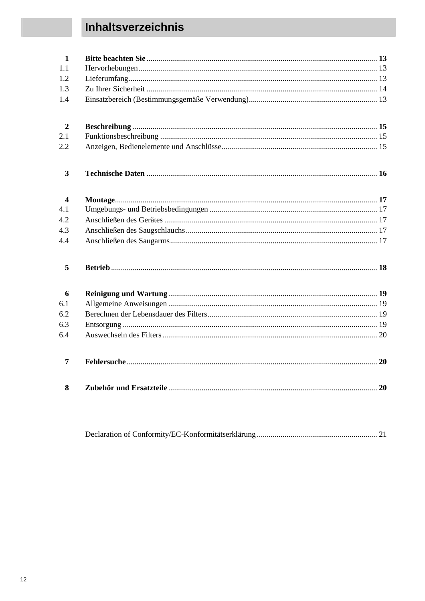# Inhaltsverzeichnis

| $\mathbf{1}$            |  |
|-------------------------|--|
| 1.1                     |  |
| 1.2                     |  |
| 1.3                     |  |
| 1.4                     |  |
| $\overline{2}$          |  |
| 2.1                     |  |
| 2.2                     |  |
| $\mathbf{3}$            |  |
| $\overline{\mathbf{4}}$ |  |
| 4.1                     |  |
| 4.2                     |  |
| 4.3                     |  |
| 4.4                     |  |
| 5                       |  |
| 6                       |  |
| 6.1                     |  |
| 6.2                     |  |
| 6.3                     |  |
| 6.4                     |  |
| 7                       |  |
| 8                       |  |

|--|--|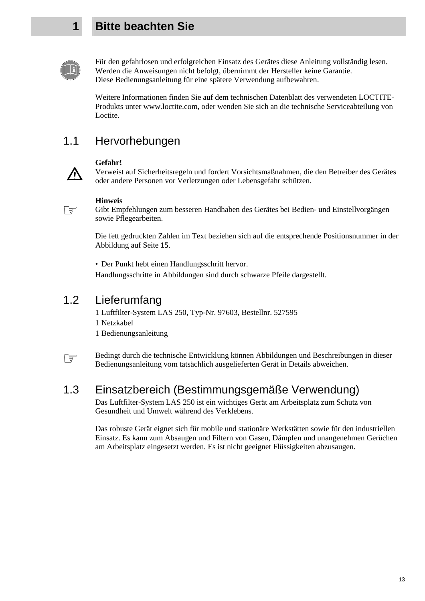## **1 Bitte beachten Sie**





Für den gefahrlosen und erfolgreichen Einsatz des Gerätes diese Anleitung vollständig lesen. Werden die Anweisungen nicht befolgt, übernimmt der Hersteller keine Garantie. Diese Bedienungsanleitung für eine spätere Verwendung aufbewahren.

Weitere Informationen finden Sie auf dem technischen Datenblatt des verwendeten LOCTITE-Produkts unter www.loctite.com, oder wenden Sie sich an die technische Serviceabteilung von Loctite.

## 1.1 Hervorhebungen



Verweist auf Sicherheitsregeln und fordert Vorsichtsmaßnahmen, die den Betreiber des Gerätes oder andere Personen vor Verletzungen oder Lebensgefahr schützen.

#### ☞

**Hinweis** 

**Gefahr!**

Gibt Empfehlungen zum besseren Handhaben des Gerätes bei Bedien- und Einstellvorgängen sowie Pflegearbeiten.

 Die fett gedruckten Zahlen im Text beziehen sich auf die entsprechende Positionsnummer in der Abbildung auf Seite **15**.

• Der Punkt hebt einen Handlungsschritt hervor. Handlungsschritte in Abbildungen sind durch schwarze Pfeile dargestellt.

## 1.2 Lieferumfang

1 Luftfilter-System LAS 250, Typ-Nr. 97603, Bestellnr. 527595 1 Netzkabel

1 Bedienungsanleitung

☞ Bedingt durch die technische Entwicklung können Abbildungen und Beschreibungen in dieser Bedienungsanleitung vom tatsächlich ausgelieferten Gerät in Details abweichen.

## 1.3 Einsatzbereich (Bestimmungsgemäße Verwendung)

 Das Luftfilter-System LAS 250 ist ein wichtiges Gerät am Arbeitsplatz zum Schutz von Gesundheit und Umwelt während des Verklebens.

 Das robuste Gerät eignet sich für mobile und stationäre Werkstätten sowie für den industriellen Einsatz. Es kann zum Absaugen und Filtern von Gasen, Dämpfen und unangenehmen Gerüchen am Arbeitsplatz eingesetzt werden. Es ist nicht geeignet Flüssigkeiten abzusaugen.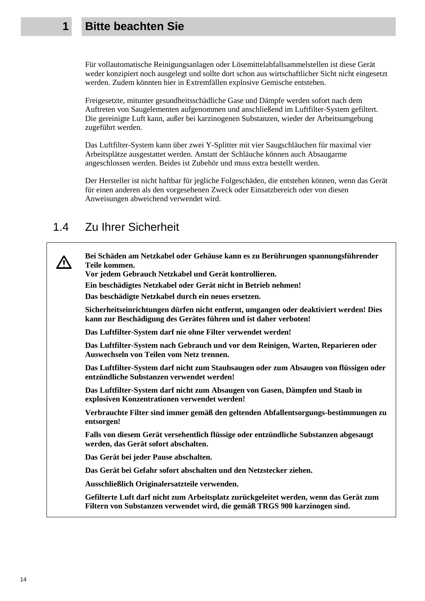#### **1 Bitte beachten Sie**

 Für vollautomatische Reinigungsanlagen oder Lösemittelabfallsammelstellen ist diese Gerät weder konzipiert noch ausgelegt und sollte dort schon aus wirtschaftlicher Sicht nicht eingesetzt werden. Zudem könnten hier in Extremfällen explosive Gemische entstehen.

 Freigesetzte, mitunter gesundheitsschädliche Gase und Dämpfe werden sofort nach dem Auftreten von Saugelementen aufgenommen und anschließend im Luftfilter-System gefiltert. Die gereinigte Luft kann, außer bei karzinogenen Substanzen, wieder der Arbeitsumgebung zugeführt werden.

 Das Luftfilter-System kann über zwei Y-Splitter mit vier Saugschläuchen für maximal vier Arbeitsplätze ausgestattet werden. Anstatt der Schläuche können auch Absaugarme angeschlossen werden. Beides ist Zubehör und muss extra bestellt werden.

 Der Hersteller ist nicht haftbar für jegliche Folgeschäden, die entstehen können, wenn das Gerät für einen anderen als den vorgesehenen Zweck oder Einsatzbereich oder von diesen Anweisungen abweichend verwendet wird.

#### 1.4 Zu Ihrer Sicherheit

**Bei Schäden am Netzkabel oder Gehäuse kann es zu Berührungen spannungsführender Teile kommen.** 

**Vor jedem Gebrauch Netzkabel und Gerät kontrollieren.**

**Ein beschädigtes Netzkabel oder Gerät nicht in Betrieb nehmen!** 

**Das beschädigte Netzkabel durch ein neues ersetzen.** 

 **Sicherheitseinrichtungen dürfen nicht entfernt, umgangen oder deaktiviert werden! Dies kann zur Beschädigung des Gerätes führen und ist daher verboten!** 

 **Das Luftfilter-System darf nie ohne Filter verwendet werden!** 

 **Das Luftfilter-System nach Gebrauch und vor dem Reinigen, Warten, Reparieren oder Auswechseln von Teilen vom Netz trennen.** 

 **Das Luftfilter-System darf nicht zum Staubsaugen oder zum Absaugen von flüssigen oder entzündliche Substanzen verwendet werden!** 

 **Das Luftfilter-System darf nicht zum Absaugen von Gasen, Dämpfen und Staub in explosiven Konzentrationen verwendet werden!** 

 **Verbrauchte Filter sind immer gemäß den geltenden Abfallentsorgungs-bestimmungen zu entsorgen!** 

 **Falls von diesem Gerät versehentlich flüssige oder entzündliche Substanzen abgesaugt werden, das Gerät sofort abschalten.** 

 **Das Gerät bei jeder Pause abschalten.** 

 **Das Gerät bei Gefahr sofort abschalten und den Netzstecker ziehen.** 

 **Ausschließlich Originalersatzteile verwenden.** 

**Gefilterte Luft darf nicht zum Arbeitsplatz zurückgeleitet werden, wenn das Gerät zum Filtern von Substanzen verwendet wird, die gemäß TRGS 900 karzinogen sind.**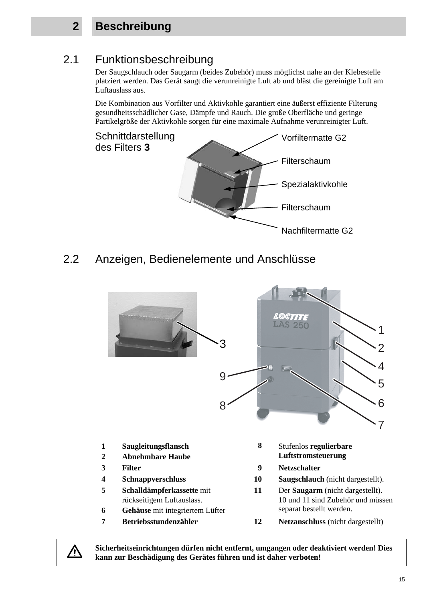# **2 Beschreibung**

## 2.1 Funktionsbeschreibung

 Der Saugschlauch oder Saugarm (beides Zubehör) muss möglichst nahe an der Klebestelle platziert werden. Das Gerät saugt die verunreinigte Luft ab und bläst die gereinigte Luft am Luftauslass aus.

Die Kombination aus Vorfilter und Aktivkohle garantiert eine äußerst effiziente Filterung gesundheitsschädlicher Gase, Dämpfe und Rauch. Die große Oberfläche und geringe Partikelgröße der Aktivkohle sorgen für eine maximale Aufnahme verunreinigter Luft.



2.2 Anzeigen, Bedienelemente und Anschlüsse



**Sicherheitseinrichtungen dürfen nicht entfernt, umgangen oder deaktiviert werden! Dies kann zur Beschädigung des Gerätes führen und ist daher verboten!**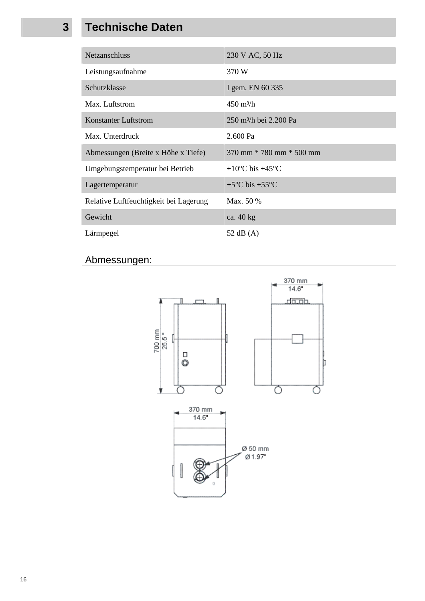# **3 Technische Daten**

| <b>Netzanschluss</b>                   | 230 V AC, 50 Hz                     |
|----------------------------------------|-------------------------------------|
| Leistungsaufnahme                      | 370 W                               |
| Schutzklasse                           | I gem. EN 60 335                    |
| Max. Luftstrom                         | $450 \text{ m}^3/\text{h}$          |
| <b>Konstanter Luftstrom</b>            | 250 m <sup>3</sup> /h bei 2.200 Pa  |
| Max. Unterdruck                        | 2.600 Pa                            |
| Abmessungen (Breite x Höhe x Tiefe)    | $370$ mm $*$ 780 mm $*$ 500 mm      |
| Umgebungstemperatur bei Betrieb        | $+10^{\circ}$ C bis $+45^{\circ}$ C |
| Lagertemperatur                        | $+5^{\circ}$ C bis $+55^{\circ}$ C  |
| Relative Luftfeuchtigkeit bei Lagerung | Max. 50 %                           |
| Gewicht                                | ca. $40 \text{ kg}$                 |
| Lärmpegel                              | 52 dB $(A)$                         |

#### Abmessungen:

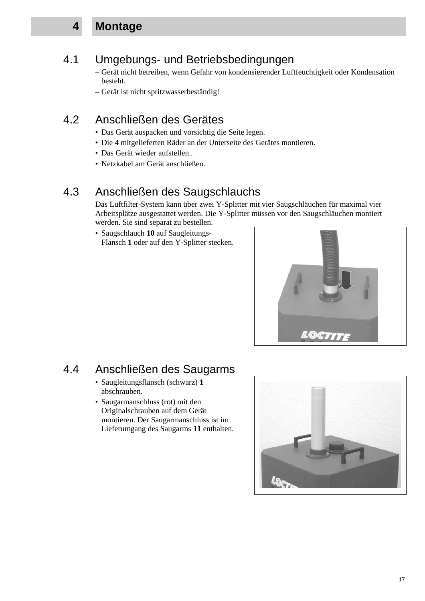#### **4 Montage**

# 4.1 Umgebungs- und Betriebsbedingungen

 – Gerät nicht betreiben, wenn Gefahr von kondensierender Luftfeuchtigkeit oder Kondensation besteht.

– Gerät ist nicht spritzwasserbeständig!

# 4.2 Anschließen des Gerätes

- Das Gerät auspacken und vorsichtig die Seite legen.
- Die 4 mitgelieferten Räder an der Unterseite des Gerätes montieren.
- Das Gerät wieder aufstellen..
- Netzkabel am Gerät anschließen.

## 4.3 Anschließen des Saugschlauchs

 Das Luftfilter-System kann über zwei Y-Splitter mit vier Saugschläuchen für maximal vier Arbeitsplätze ausgestattet werden. Die Y-Splitter müssen vor den Saugschläuchen montiert werden. Sie sind separat zu bestellen.

 • Saugschlauch **10** auf Saugleitungs-Flansch **1** oder auf den Y-Splitter stecken.



## 4.4 Anschließen des Saugarms

- Saugleitungsflansch (schwarz) **1** abschrauben.
- Saugarmanschluss (rot) mit den Originalschrauben auf dem Gerät montieren. Der Saugarmanschluss ist im Lieferumgang des Saugarms **11** enthalten.

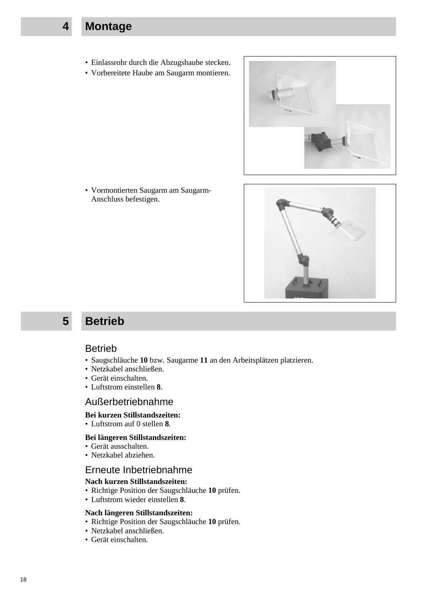- **4 Montage** 
	- Einlassrohr durch die Abzugshaube stecken.
	- Vorbereitete Haube am Saugarm montieren.



 • Vormontierten Saugarm am Saugarm-Anschluss befestigen.



#### **5 Betrieb**

#### Betrieb

- Saugschläuche **10** bzw. Saugarme **11** an den Arbeitsplätzen platzieren.
- Netzkabel anschließen.
- Gerät einschalten.
- Luftstrom einstellen **8**.

#### Außerbetriebnahme

#### **Bei kurzen Stillstandszeiten:**

• Luftstrom auf 0 stellen **8**.

#### **Bei längeren Stillstandszeiten:**

- Gerät ausschalten.
- Netzkabel abziehen.

#### Erneute Inbetriebnahme

#### **Nach kurzen Stillstandszeiten:**

- Richtige Position der Saugschläuche **10** prüfen.
- Luftstrom wieder einstellen **8**.

#### **Nach längeren Stillstandszeiten:**

- Richtige Position der Saugschläuche **10** prüfen.
- Netzkabel anschließen.
- Gerät einschalten.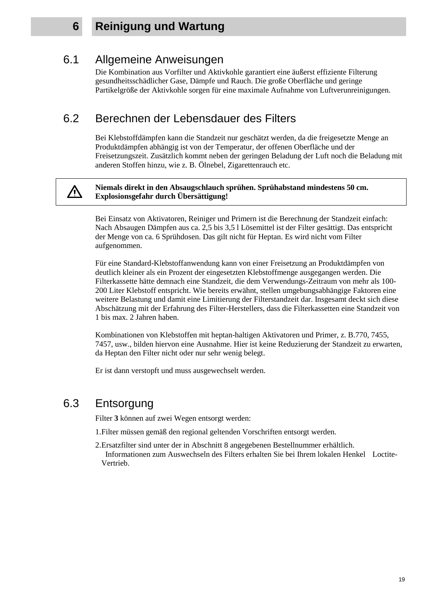/\

#### **6 Reinigung und Wartung**

#### 6.1 Allgemeine Anweisungen

 Die Kombination aus Vorfilter und Aktivkohle garantiert eine äußerst effiziente Filterung gesundheitsschädlicher Gase, Dämpfe und Rauch. Die große Oberfläche und geringe Partikelgröße der Aktivkohle sorgen für eine maximale Aufnahme von Luftverunreinigungen.

#### 6.2 Berechnen der Lebensdauer des Filters

Bei Klebstoffdämpfen kann die Standzeit nur geschätzt werden, da die freigesetzte Menge an Produktdämpfen abhängig ist von der Temperatur, der offenen Oberfläche und der Freisetzungszeit. Zusätzlich kommt neben der geringen Beladung der Luft noch die Beladung mit anderen Stoffen hinzu, wie z. B. Ölnebel, Zigarettenrauch etc.

#### **Niemals direkt in den Absaugschlauch sprühen. Sprühabstand mindestens 50 cm. Explosionsgefahr durch Übersättigung!**

Bei Einsatz von Aktivatoren, Reiniger und Primern ist die Berechnung der Standzeit einfach: Nach Absaugen Dämpfen aus ca. 2,5 bis 3,5 l Lösemittel ist der Filter gesättigt. Das entspricht der Menge von ca. 6 Sprühdosen. Das gilt nicht für Heptan. Es wird nicht vom Filter aufgenommen.

 Für eine Standard-Klebstoffanwendung kann von einer Freisetzung an Produktdämpfen von deutlich kleiner als ein Prozent der eingesetzten Klebstoffmenge ausgegangen werden. Die Filterkassette hätte demnach eine Standzeit, die dem Verwendungs-Zeitraum von mehr als 100- 200 Liter Klebstoff entspricht. Wie bereits erwähnt, stellen umgebungsabhängige Faktoren eine weitere Belastung und damit eine Limitierung der Filterstandzeit dar. Insgesamt deckt sich diese Abschätzung mit der Erfahrung des Filter-Herstellers, dass die Filterkassetten eine Standzeit von 1 bis max. 2 Jahren haben.

 Kombinationen von Klebstoffen mit heptan-haltigen Aktivatoren und Primer, z. B.770, 7455, 7457, usw., bilden hiervon eine Ausnahme. Hier ist keine Reduzierung der Standzeit zu erwarten, da Heptan den Filter nicht oder nur sehr wenig belegt.

Er ist dann verstopft und muss ausgewechselt werden.

#### 6.3 Entsorgung

Filter **3** können auf zwei Wegen entsorgt werden:

- 1. Filter müssen gemäß den regional geltenden Vorschriften entsorgt werden.
- 2. Ersatzfilter sind unter der in Abschnitt 8 angegebenen Bestellnummer erhältlich. Informationen zum Auswechseln des Filters erhalten Sie bei Ihrem lokalen Henkel Loctite-Vertrieb.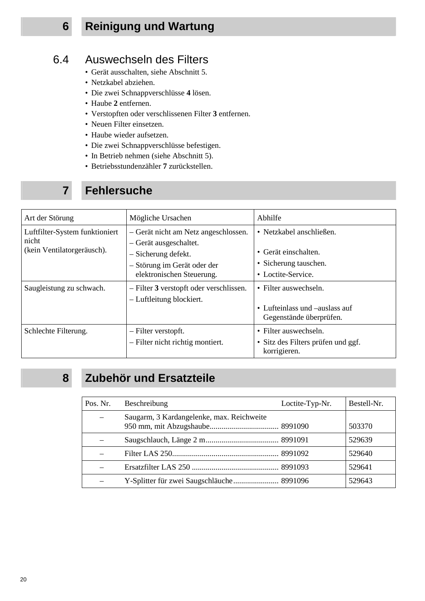# **6 Reinigung und Wartung**

## 6.4 Auswechseln des Filters

- Gerät ausschalten, siehe Abschnitt 5.
- Netzkabel abziehen.
- Die zwei Schnappverschlüsse **4** lösen.
- Haube **2** entfernen.
- Verstopften oder verschlissenen Filter **3** entfernen.
- Neuen Filter einsetzen.
- Haube wieder aufsetzen.
- Die zwei Schnappverschlüsse befestigen.
- In Betrieb nehmen (siehe Abschnitt 5).
- Betriebsstundenzähler **7** zurückstellen.

# **7 Fehlersuche**

| Art der Störung                                                       | Mögliche Ursachen                                                                                                                                 | Abhilfe                                                                                         |
|-----------------------------------------------------------------------|---------------------------------------------------------------------------------------------------------------------------------------------------|-------------------------------------------------------------------------------------------------|
| Luftfilter-System funktioniert<br>nicht<br>(kein Ventilatorgeräusch). | - Gerät nicht am Netz angeschlossen.<br>- Gerät ausgeschaltet.<br>- Sicherung defekt.<br>- Störung im Gerät oder der<br>elektronischen Steuerung. | • Netzkabel anschließen.<br>• Gerät einschalten.<br>• Sicherung tauschen.<br>• Loctite-Service. |
| Saugleistung zu schwach.                                              | - Filter 3 verstopft oder verschlissen.<br>- Luftleitung blockiert.                                                                               | • Filter auswechseln.<br>• Lufteinlass und –auslass auf<br>Gegenstände überprüfen.              |
| Schlechte Filterung.                                                  | - Filter verstopft.<br>- Filter nicht richtig montiert.                                                                                           | • Filter auswechseln.<br>Sitz des Filters prüfen und ggf.<br>$\bullet$<br>korrigieren.          |

# **8 Zubehör und Ersatzteile**

| Pos. Nr. | Beschreibung                              | Loctite-Typ-Nr. | Bestell-Nr. |
|----------|-------------------------------------------|-----------------|-------------|
|          | Saugarm, 3 Kardangelenke, max. Reichweite |                 | 503370      |
|          |                                           |                 | 529639      |
|          |                                           |                 | 529640      |
|          |                                           |                 | 529641      |
|          | Y-Splitter für zwei Saugschläuche 8991096 |                 | 529643      |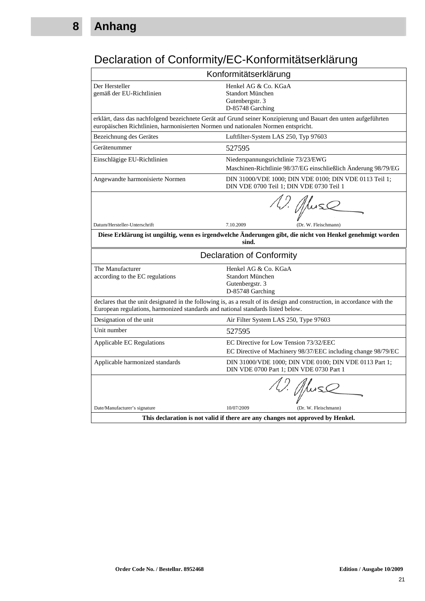# Declaration of Conformity/EC-Konformitätserklärung

| Konformitätserklärung                                                                                                                                                                                        |                                                                                                                 |  |
|--------------------------------------------------------------------------------------------------------------------------------------------------------------------------------------------------------------|-----------------------------------------------------------------------------------------------------------------|--|
| Der Hersteller<br>gemäß der EU-Richtlinien                                                                                                                                                                   | Henkel AG & Co. KGaA<br>Standort München<br>Gutenbergstr. 3<br>D-85748 Garching                                 |  |
| europäischen Richtlinien, harmonisierten Normen und nationalen Normen entspricht.                                                                                                                            | erklärt, dass das nachfolgend bezeichnete Gerät auf Grund seiner Konzipierung und Bauart den unten aufgeführten |  |
| Bezeichnung des Gerätes                                                                                                                                                                                      | Luftfilter-System LAS 250, Typ 97603                                                                            |  |
| Gerätenummer                                                                                                                                                                                                 | 527595                                                                                                          |  |
| Einschlägige EU-Richtlinien                                                                                                                                                                                  | Niederspannungsrichtlinie 73/23/EWG<br>Maschinen-Richtlinie 98/37/EG einschließlich Änderung 98/79/EG           |  |
| Angewandte harmonisierte Normen                                                                                                                                                                              | DIN 31000/VDE 1000; DIN VDE 0100; DIN VDE 0113 Teil 1;<br>DIN VDE 0700 Teil 1; DIN VDE 0730 Teil 1              |  |
|                                                                                                                                                                                                              | 12. Africa                                                                                                      |  |
| Datum/Hersteller-Unterschrift                                                                                                                                                                                | 7.10.2009<br>(Dr. W. Fleischmann)                                                                               |  |
| Diese Erklärung ist ungültig, wenn es irgendwelche Änderungen gibt, die nicht von Henkel genehmigt worden<br>sind.                                                                                           |                                                                                                                 |  |
|                                                                                                                                                                                                              | <b>Declaration of Conformity</b>                                                                                |  |
| The Manufacturer<br>according to the EC regulations                                                                                                                                                          | Henkel AG & Co. KGaA<br>Standort München<br>Gutenbergstr. 3<br>D-85748 Garching                                 |  |
| declares that the unit designated in the following is, as a result of its design and construction, in accordance with the<br>European regulations, harmonized standards and national standards listed below. |                                                                                                                 |  |
| Designation of the unit                                                                                                                                                                                      | Air Filter System LAS 250, Type 97603                                                                           |  |
| Unit number                                                                                                                                                                                                  | 527595                                                                                                          |  |
| Applicable EC Regulations                                                                                                                                                                                    | EC Directive for Low Tension 73/32/EEC<br>EC Directive of Machinery 98/37/EEC including change 98/79/EC         |  |
| Applicable harmonized standards                                                                                                                                                                              | DIN 31000/VDE 1000; DIN VDE 0100; DIN VDE 0113 Part 1;<br>DIN VDE 0700 Part 1; DIN VDE 0730 Part 1              |  |
|                                                                                                                                                                                                              | 1 <i>J. Af</i> luse                                                                                             |  |
| Date/Manufacturer's signature                                                                                                                                                                                | 10/07/2009<br>(Dr. W. Fleischmann)                                                                              |  |
| This declaration is not valid if there are any changes not approved by Henkel.                                                                                                                               |                                                                                                                 |  |